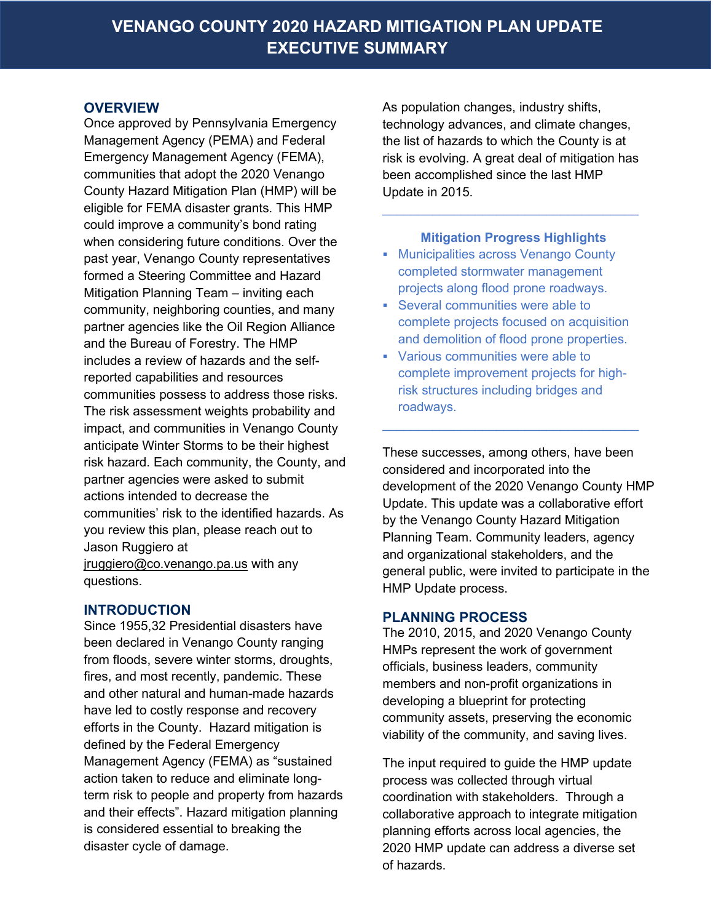#### **OVERVIEW**

Once approved by Pennsylvania Emergency Management Agency (PEMA) and Federal Emergency Management Agency (FEMA), communities that adopt the 2020 Venango County Hazard Mitigation Plan (HMP) will be eligible for FEMA disaster grants. This HMP could improve a community's bond rating when considering future conditions. Over the past year, Venango County representatives formed a Steering Committee and Hazard Mitigation Planning Team – inviting each community, neighboring counties, and many partner agencies like the Oil Region Alliance and the Bureau of Forestry. The HMP includes a review of hazards and the selfreported capabilities and resources communities possess to address those risks. The risk assessment weights probability and impact, and communities in Venango County anticipate Winter Storms to be their highest risk hazard. Each community, the County, and partner agencies were asked to submit actions intended to decrease the communities' risk to the identified hazards. As you review this plan, please reach out to Jason Ruggiero at jruggiero@co.venango.pa.us with any questions.

#### **INTRODUCTION**

Since 1955,32 Presidential disasters have been declared in Venango County ranging from floods, severe winter storms, droughts, fires, and most recently, pandemic. These and other natural and human-made hazards have led to costly response and recovery efforts in the County. Hazard mitigation is defined by the Federal Emergency Management Agency (FEMA) as "sustained action taken to reduce and eliminate longterm risk to people and property from hazards and their effects". Hazard mitigation planning is considered essential to breaking the disaster cycle of damage.

As population changes, industry shifts, technology advances, and climate changes, the list of hazards to which the County is at risk is evolving. A great deal of mitigation has been accomplished since the last HMP Update in 2015.

#### **Mitigation Progress Highlights**

 $\mathcal{L}_\text{max}$  and  $\mathcal{L}_\text{max}$  and  $\mathcal{L}_\text{max}$  and  $\mathcal{L}_\text{max}$ 

- **Municipalities across Venango County** completed stormwater management projects along flood prone roadways.
- Several communities were able to complete projects focused on acquisition and demolition of flood prone properties.
- Various communities were able to complete improvement projects for highrisk structures including bridges and roadways.

 $\mathcal{L}_\text{max}$  and  $\mathcal{L}_\text{max}$  and  $\mathcal{L}_\text{max}$  and  $\mathcal{L}_\text{max}$ 

These successes, among others, have been considered and incorporated into the development of the 2020 Venango County HMP Update. This update was a collaborative effort by the Venango County Hazard Mitigation Planning Team. Community leaders, agency and organizational stakeholders, and the general public, were invited to participate in the HMP Update process.

#### **PLANNING PROCESS**

The 2010, 2015, and 2020 Venango County HMPs represent the work of government officials, business leaders, community members and non-profit organizations in developing a blueprint for protecting community assets, preserving the economic viability of the community, and saving lives.

The input required to guide the HMP update process was collected through virtual coordination with stakeholders. Through a collaborative approach to integrate mitigation planning efforts across local agencies, the 2020 HMP update can address a diverse set of hazards.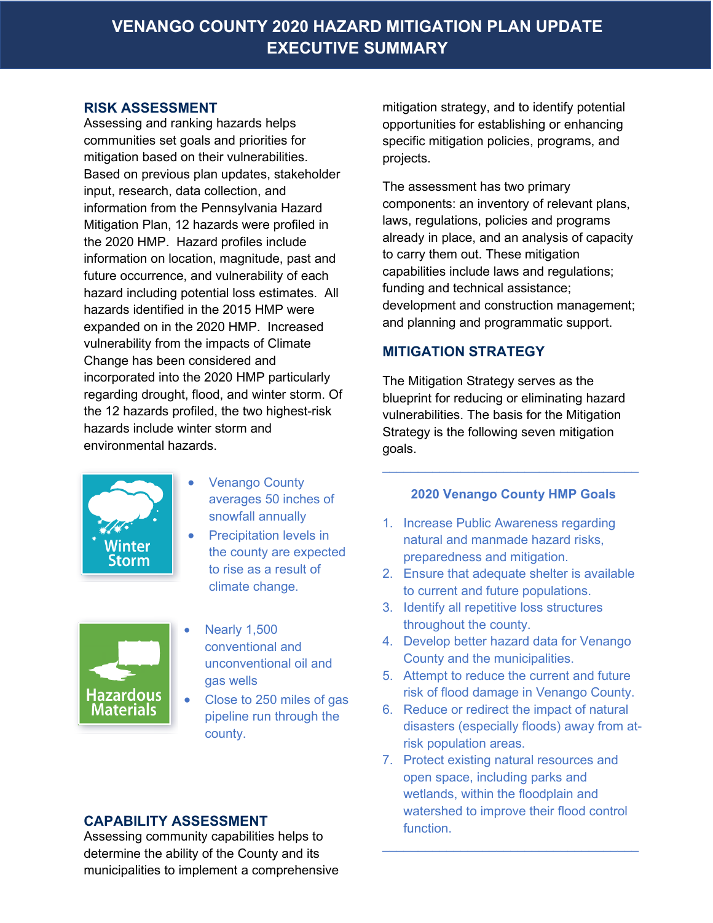#### **RISK ASSESSMENT**

Assessing and ranking hazards helps communities set goals and priorities for mitigation based on their vulnerabilities. Based on previous plan updates, stakeholder input, research, data collection, and information from the Pennsylvania Hazard Mitigation Plan, 12 hazards were profiled in the 2020 HMP. Hazard profiles include information on location, magnitude, past and future occurrence, and vulnerability of each hazard including potential loss estimates. All hazards identified in the 2015 HMP were expanded on in the 2020 HMP. Increased vulnerability from the impacts of Climate Change has been considered and incorporated into the 2020 HMP particularly regarding drought, flood, and winter storm. Of the 12 hazards profiled, the two highest-risk hazards include winter storm and environmental hazards.



- **Venango County** averages 50 inches of snowfall annually
- Precipitation levels in the county are expected to rise as a result of climate change.



- Nearly 1,500 conventional and unconventional oil and gas wells
- Close to 250 miles of gas pipeline run through the county.

## **CAPABILITY ASSESSMENT**

Assessing community capabilities helps to determine the ability of the County and its municipalities to implement a comprehensive mitigation strategy, and to identify potential opportunities for establishing or enhancing specific mitigation policies, programs, and projects.

The assessment has two primary components: an inventory of relevant plans, laws, regulations, policies and programs already in place, and an analysis of capacity to carry them out. These mitigation capabilities include laws and regulations; funding and technical assistance; development and construction management; and planning and programmatic support.

## **MITIGATION STRATEGY**

The Mitigation Strategy serves as the blueprint for reducing or eliminating hazard vulnerabilities. The basis for the Mitigation Strategy is the following seven mitigation goals.

### **2020 Venango County HMP Goals**

 $\mathcal{L}=\{1,2,3,4,5\}$  , we can assume that the contribution of  $\mathcal{L}=\{1,2,3,4,5\}$ 

- 1. Increase Public Awareness regarding natural and manmade hazard risks, preparedness and mitigation.
- 2. Ensure that adequate shelter is available to current and future populations.
- 3. Identify all repetitive loss structures throughout the county.
- 4. Develop better hazard data for Venango County and the municipalities.
- 5. Attempt to reduce the current and future risk of flood damage in Venango County.
- 6. Reduce or redirect the impact of natural disasters (especially floods) away from atrisk population areas.
- 7. Protect existing natural resources and open space, including parks and wetlands, within the floodplain and watershed to improve their flood control function.

 $\mathcal{L}=\{1,2,3,4,5\}$  , we can assume that the contribution of  $\mathcal{L}=\{1,2,3,4,5\}$